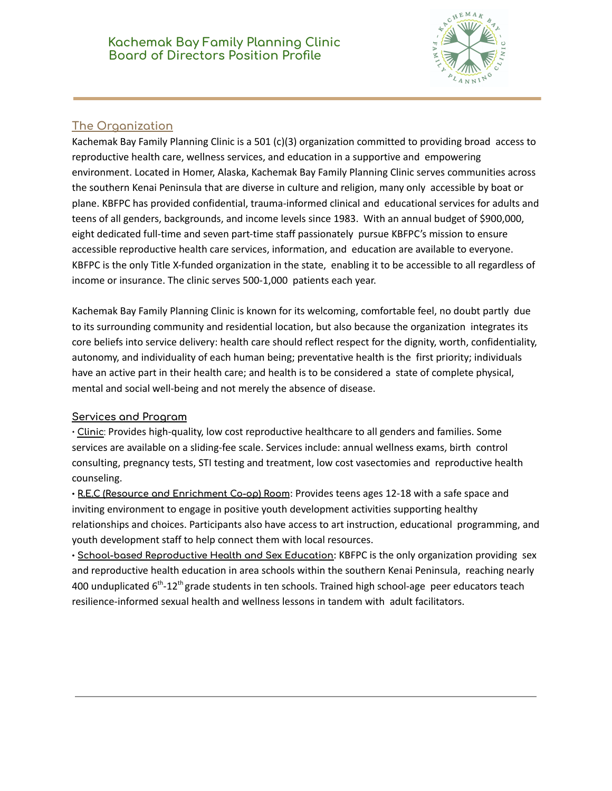

# **The Organization**

Kachemak Bay Family Planning Clinic is a 501 (c)(3) organization committed to providing broad access to reproductive health care, wellness services, and education in a supportive and empowering environment. Located in Homer, Alaska, Kachemak Bay Family Planning Clinic serves communities across the southern Kenai Peninsula that are diverse in culture and religion, many only accessible by boat or plane. KBFPC has provided confidential, trauma-informed clinical and educational services for adults and teens of all genders, backgrounds, and income levels since 1983. With an annual budget of \$900,000, eight dedicated full-time and seven part-time staff passionately pursue KBFPC's mission to ensure accessible reproductive health care services, information, and education are available to everyone. KBFPC is the only Title X-funded organization in the state, enabling it to be accessible to all regardless of income or insurance. The clinic serves 500-1,000 patients each year.

Kachemak Bay Family Planning Clinic is known for its welcoming, comfortable feel, no doubt partly due to its surrounding community and residential location, but also because the organization integrates its core beliefs into service delivery: health care should reflect respect for the dignity, worth, confidentiality, autonomy, and individuality of each human being; preventative health is the first priority; individuals have an active part in their health care; and health is to be considered a state of complete physical, mental and social well-being and not merely the absence of disease.

### **Services and Program**

**∙ Clinic**: Provides high-quality, low cost reproductive healthcare to all genders and families. Some services are available on a sliding-fee scale. Services include: annual wellness exams, birth control consulting, pregnancy tests, STI testing and treatment, low cost vasectomies and reproductive health counseling.

**∙ R.E.C (Resource and Enrichment Co-op) Room**: Provides teens ages 12-18 with a safe space and inviting environment to engage in positive youth development activities supporting healthy relationships and choices. Participants also have access to art instruction, educational programming, and youth development staff to help connect them with local resources.

**∙ School-based Reproductive Health and Sex Education**: KBFPC is the only organization providing sex and reproductive health education in area schools within the southern Kenai Peninsula, reaching nearly 400 unduplicated 6<sup>th</sup>-12<sup>th</sup> grade students in ten schools. Trained high school-age peer educators teach resilience-informed sexual health and wellness lessons in tandem with adult facilitators.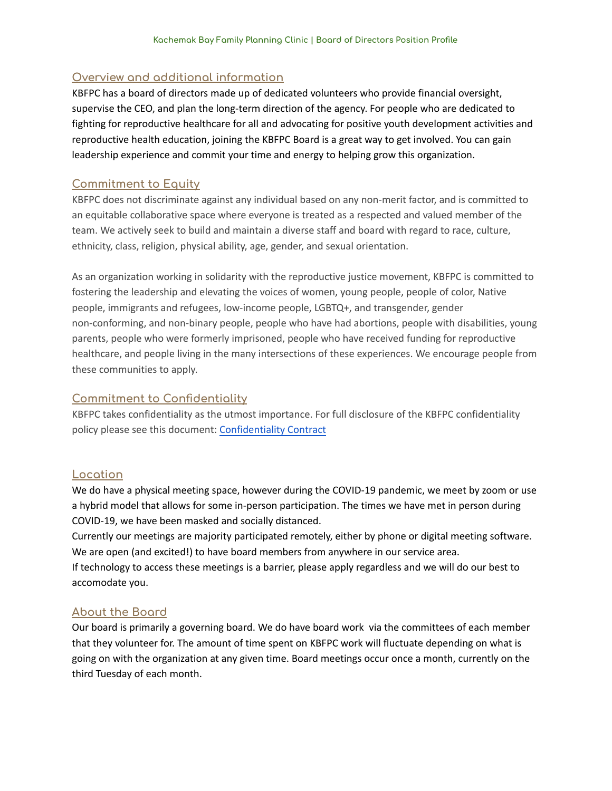## **Overview and additional information**

KBFPC has a board of directors made up of dedicated volunteers who provide financial oversight, supervise the CEO, and plan the long-term direction of the agency. For people who are dedicated to fighting for reproductive healthcare for all and advocating for positive youth development activities and reproductive health education, joining the KBFPC Board is a great way to get involved. You can gain leadership experience and commit your time and energy to helping grow this organization.

### **Commitment to Equity**

KBFPC does not discriminate against any individual based on any non-merit factor, and is committed to an equitable collaborative space where everyone is treated as a respected and valued member of the team. We actively seek to build and maintain a diverse staff and board with regard to race, culture, ethnicity, class, religion, physical ability, age, gender, and sexual orientation.

As an organization working in solidarity with the reproductive justice movement, KBFPC is committed to fostering the leadership and elevating the voices of women, young people, people of color, Native people, immigrants and refugees, low-income people, LGBTQ+, and transgender, gender non-conforming, and non-binary people, people who have had abortions, people with disabilities, young parents, people who were formerly imprisoned, people who have received funding for reproductive healthcare, and people living in the many intersections of these experiences. We encourage people from these communities to apply.

## **Commitment to Confidentiality**

KBFPC takes confidentiality as the utmost importance. For full disclosure of the KBFPC confidentiality policy please see this document: [Confidentiality Contract](https://drive.google.com/file/d/1KzbEWdAxhCQ_pvXm4JixPdskqbyhEwRO/view?usp=sharing)

### **Location**

We do have a physical meeting space, however during the COVID-19 pandemic, we meet by zoom or use a hybrid model that allows for some in-person participation. The times we have met in person during COVID-19, we have been masked and socially distanced.

Currently our meetings are majority participated remotely, either by phone or digital meeting software. We are open (and excited!) to have board members from anywhere in our service area.

If technology to access these meetings is a barrier, please apply regardless and we will do our best to accomodate you.

### **About the Board**

Our board is primarily a governing board. We do have board work via the committees of each member that they volunteer for. The amount of time spent on KBFPC work will fluctuate depending on what is going on with the organization at any given time. Board meetings occur once a month, currently on the third Tuesday of each month.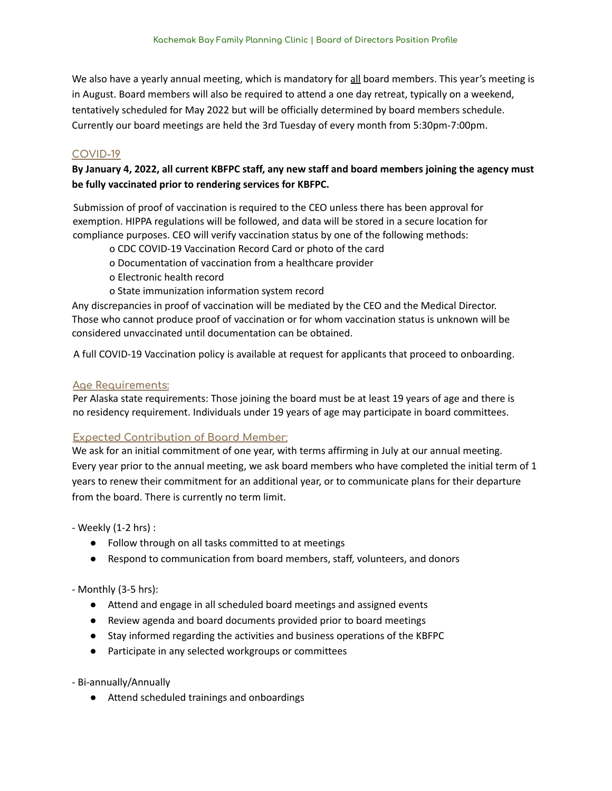We also have a yearly annual meeting, which is mandatory for all board members. This year's meeting is in August. Board members will also be required to attend a one day retreat, typically on a weekend, tentatively scheduled for May 2022 but will be officially determined by board members schedule. Currently our board meetings are held the 3rd Tuesday of every month from 5:30pm-7:00pm.

#### **COVID-19**

By January 4, 2022, all current KBFPC staff, any new staff and board members joining the agency must **be fully vaccinated prior to rendering services for KBFPC.**

Submission of proof of vaccination is required to the CEO unless there has been approval for exemption. HIPPA regulations will be followed, and data will be stored in a secure location for compliance purposes. CEO will verify vaccination status by one of the following methods:

o CDC COVID-19 Vaccination Record Card or photo of the card

- o Documentation of vaccination from a healthcare provider
- o Electronic health record
- o State immunization information system record

Any discrepancies in proof of vaccination will be mediated by the CEO and the Medical Director. Those who cannot produce proof of vaccination or for whom vaccination status is unknown will be considered unvaccinated until documentation can be obtained.

A full COVID-19 Vaccination policy is available at request for applicants that proceed to onboarding.

#### **Age Requirements:**

Per Alaska state requirements: Those joining the board must be at least 19 years of age and there is no residency requirement. Individuals under 19 years of age may participate in board committees.

#### **Expected Contribution of Board Member**:

We ask for an initial commitment of one year, with terms affirming in July at our annual meeting. Every year prior to the annual meeting, we ask board members who have completed the initial term of 1 years to renew their commitment for an additional year, or to communicate plans for their departure from the board. There is currently no term limit.

- Weekly (1-2 hrs) :

- Follow through on all tasks committed to at meetings
- Respond to communication from board members, staff, volunteers, and donors

- Monthly (3-5 hrs):

- Attend and engage in all scheduled board meetings and assigned events
- Review agenda and board documents provided prior to board meetings
- Stay informed regarding the activities and business operations of the KBFPC
- Participate in any selected workgroups or committees

- Bi-annually/Annually

● Attend scheduled trainings and onboardings